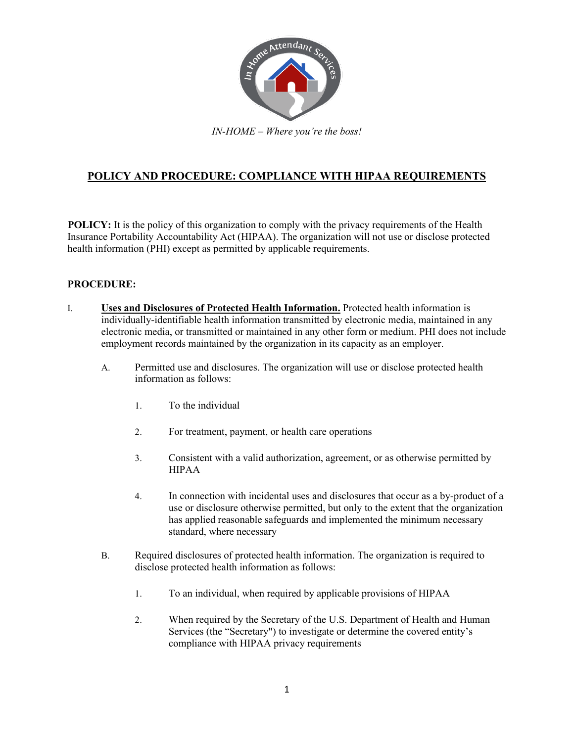

*IN-HOME – Where you're the boss!*

# **POLICY AND PROCEDURE: COMPLIANCE WITH HIPAA REQUIREMENTS**

**POLICY:** It is the policy of this organization to comply with the privacy requirements of the Health Insurance Portability Accountability Act (HIPAA). The organization will not use or disclose protected health information (PHI) except as permitted by applicable requirements.

## **PROCEDURE:**

- I. **Uses and Disclosures of Protected Health Information.** Protected health information is individually-identifiable health information transmitted by electronic media, maintained in any electronic media, or transmitted or maintained in any other form or medium. PHI does not include employment records maintained by the organization in its capacity as an employer.
	- A. Permitted use and disclosures. The organization will use or disclose protected health information as follows:
		- 1. To the individual
		- 2. For treatment, payment, or health care operations
		- 3. Consistent with a valid authorization, agreement, or as otherwise permitted by HIPAA
		- 4. In connection with incidental uses and disclosures that occur as a by-product of a use or disclosure otherwise permitted, but only to the extent that the organization has applied reasonable safeguards and implemented the minimum necessary standard, where necessary
	- B. Required disclosures of protected health information. The organization is required to disclose protected health information as follows:
		- 1. To an individual, when required by applicable provisions of HIPAA
		- 2. When required by the Secretary of the U.S. Department of Health and Human Services (the "Secretary") to investigate or determine the covered entity's compliance with HIPAA privacy requirements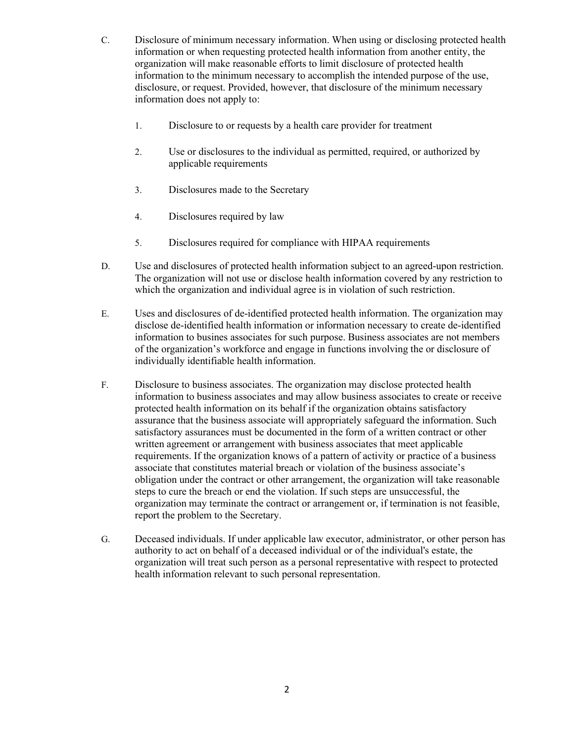- C. Disclosure of minimum necessary information. When using or disclosing protected health information or when requesting protected health information from another entity, the organization will make reasonable efforts to limit disclosure of protected health information to the minimum necessary to accomplish the intended purpose of the use, disclosure, or request. Provided, however, that disclosure of the minimum necessary information does not apply to:
	- 1. Disclosure to or requests by a health care provider for treatment
	- 2. Use or disclosures to the individual as permitted, required, or authorized by applicable requirements
	- 3. Disclosures made to the Secretary
	- 4. Disclosures required by law
	- 5. Disclosures required for compliance with HIPAA requirements
- D. Use and disclosures of protected health information subject to an agreed-upon restriction. The organization will not use or disclose health information covered by any restriction to which the organization and individual agree is in violation of such restriction.
- E. Uses and disclosures of de-identified protected health information. The organization may disclose de-identified health information or information necessary to create de-identified information to busines associates for such purpose. Business associates are not members of the organization's workforce and engage in functions involving the or disclosure of individually identifiable health information.
- F. Disclosure to business associates. The organization may disclose protected health information to business associates and may allow business associates to create or receive protected health information on its behalf if the organization obtains satisfactory assurance that the business associate will appropriately safeguard the information. Such satisfactory assurances must be documented in the form of a written contract or other written agreement or arrangement with business associates that meet applicable requirements. If the organization knows of a pattern of activity or practice of a business associate that constitutes material breach or violation of the business associate's obligation under the contract or other arrangement, the organization will take reasonable steps to cure the breach or end the violation. If such steps are unsuccessful, the organization may terminate the contract or arrangement or, if termination is not feasible, report the problem to the Secretary.
- G. Deceased individuals. If under applicable law executor, administrator, or other person has authority to act on behalf of a deceased individual or of the individual's estate, the organization will treat such person as a personal representative with respect to protected health information relevant to such personal representation.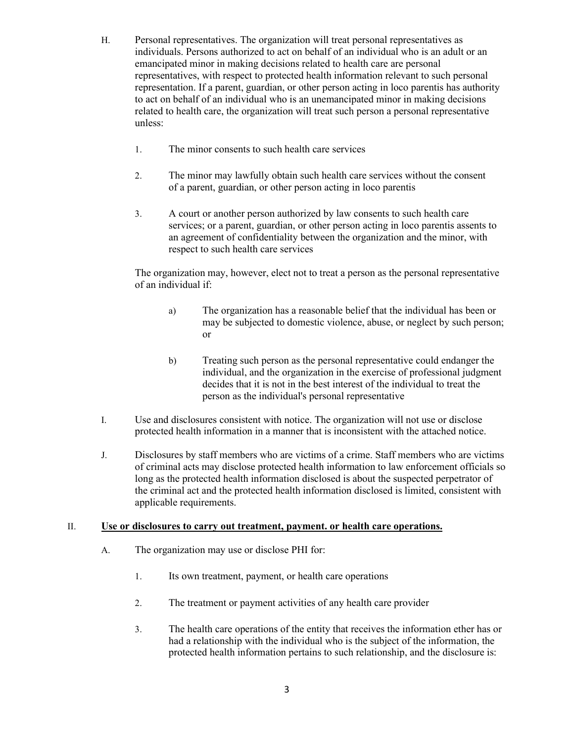- H. Personal representatives. The organization will treat personal representatives as individuals. Persons authorized to act on behalf of an individual who is an adult or an emancipated minor in making decisions related to health care are personal representatives, with respect to protected health information relevant to such personal representation. If a parent, guardian, or other person acting in loco parentis has authority to act on behalf of an individual who is an unemancipated minor in making decisions related to health care, the organization will treat such person a personal representative unless:
	- 1. The minor consents to such health care services
	- 2. The minor may lawfully obtain such health care services without the consent of a parent, guardian, or other person acting in loco parentis
	- 3. A court or another person authorized by law consents to such health care services; or a parent, guardian, or other person acting in loco parentis assents to an agreement of confidentiality between the organization and the minor, with respect to such health care services

The organization may, however, elect not to treat a person as the personal representative of an individual if:

- a) The organization has a reasonable belief that the individual has been or may be subjected to domestic violence, abuse, or neglect by such person; or
- b) Treating such person as the personal representative could endanger the individual, and the organization in the exercise of professional judgment decides that it is not in the best interest of the individual to treat the person as the individual's personal representative
- I. Use and disclosures consistent with notice. The organization will not use or disclose protected health information in a manner that is inconsistent with the attached notice.
- J. Disclosures by staff members who are victims of a crime. Staff members who are victims of criminal acts may disclose protected health information to law enforcement officials so long as the protected health information disclosed is about the suspected perpetrator of the criminal act and the protected health information disclosed is limited, consistent with applicable requirements.

#### II. **Use or disclosures to carry out treatment, payment. or health care operations.**

- A. The organization may use or disclose PHI for:
	- 1. Its own treatment, payment, or health care operations
	- 2. The treatment or payment activities of any health care provider
	- 3. The health care operations of the entity that receives the information ether has or had a relationship with the individual who is the subject of the information, the protected health information pertains to such relationship, and the disclosure is: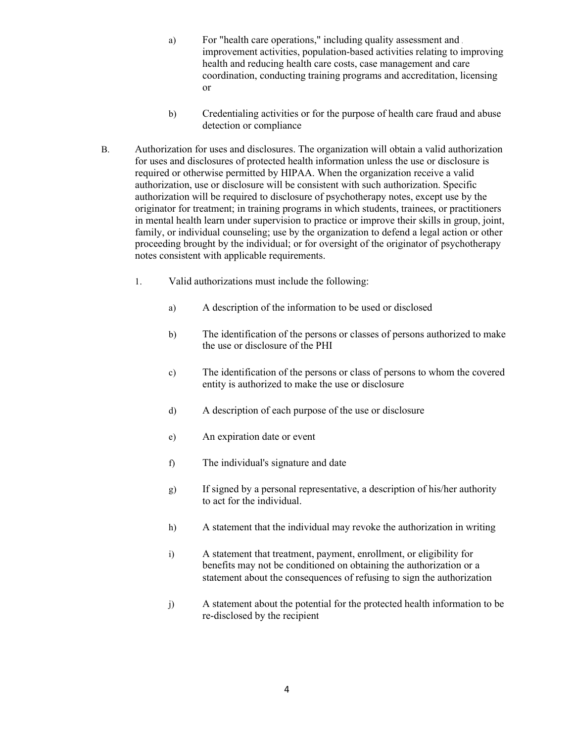- a) For "health care operations," including quality assessment and . improvement activities, population-based activities relating to improving health and reducing health care costs, case management and care coordination, conducting training programs and accreditation, licensing or
- b) Credentialing activities or for the purpose of health care fraud and abuse detection or compliance
- B. Authorization for uses and disclosures. The organization will obtain a valid authorization for uses and disclosures of protected health information unless the use or disclosure is required or otherwise permitted by HIPAA. When the organization receive a valid authorization, use or disclosure will be consistent with such authorization. Specific authorization will be required to disclosure of psychotherapy notes, except use by the originator for treatment; in training programs in which students, trainees, or practitioners in mental health learn under supervision to practice or improve their skills in group, joint, family, or individual counseling; use by the organization to defend a legal action or other proceeding brought by the individual; or for oversight of the originator of psychotherapy notes consistent with applicable requirements.
	- 1. Valid authorizations must include the following:
		- a) A description of the information to be used or disclosed
		- b) The identification of the persons or classes of persons authorized to make the use or disclosure of the PHI
		- c) The identification of the persons or class of persons to whom the covered entity is authorized to make the use or disclosure
		- d) A description of each purpose of the use or disclosure
		- e) An expiration date or event
		- f) The individual's signature and date
		- g) If signed by a personal representative, a description of his/her authority to act for the individual.
		- h) A statement that the individual may revoke the authorization in writing
		- i) A statement that treatment, payment, enrollment, or eligibility for benefits may not be conditioned on obtaining the authorization or a statement about the consequences of refusing to sign the authorization
		- j) A statement about the potential for the protected health information to be re-disclosed by the recipient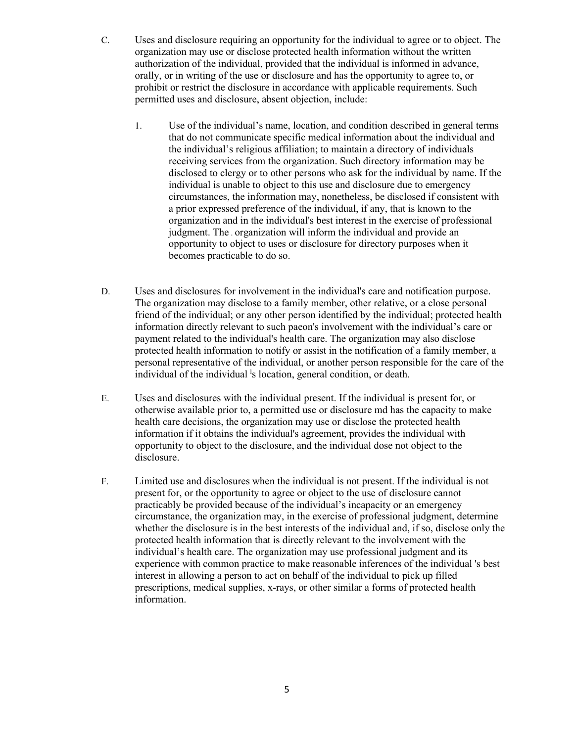- C. Uses and disclosure requiring an opportunity for the individual to agree or to object. The organization may use or disclose protected health information without the written authorization of the individual, provided that the individual is informed in advance, orally, or in writing of the use or disclosure and has the opportunity to agree to, or prohibit or restrict the disclosure in accordance with applicable requirements. Such permitted uses and disclosure, absent objection, include:
	- 1. Use of the individual's name, location, and condition described in general terms that do not communicate specific medical information about the individual and the individual's religious affiliation; to maintain a directory of individuals receiving services from the organization. Such directory information may be disclosed to clergy or to other persons who ask for the individual by name. If the individual is unable to object to this use and disclosure due to emergency circumstances, the information may, nonetheless, be disclosed if consistent with a prior expressed preference of the individual, if any, that is known to the organization and in the individual's best interest in the exercise of professional judgment. The organization will inform the individual and provide an opportunity to object to uses or disclosure for directory purposes when it becomes practicable to do so.
- D. Uses and disclosures for involvement in the individual's care and notification purpose. The organization may disclose to a family member, other relative, or a close personal friend of the individual; or any other person identified by the individual; protected health information directly relevant to such paeon's involvement with the individual's care or payment related to the individual's health care. The organization may also disclose protected health information to notify or assist in the notification of a family member, a personal representative of the individual, or another person responsible for the care of the individual of the individual <sup>1</sup>s location, general condition, or death.
- E. Uses and disclosures with the individual present. If the individual is present for, or otherwise available prior to, a permitted use or disclosure md has the capacity to make health care decisions, the organization may use or disclose the protected health information if it obtains the individual's agreement, provides the individual with opportunity to object to the disclosure, and the individual dose not object to the disclosure.
- F. Limited use and disclosures when the individual is not present. If the individual is not present for, or the opportunity to agree or object to the use of disclosure cannot practicably be provided because of the individual's incapacity or an emergency circumstance, the organization may, in the exercise of professional judgment, determine whether the disclosure is in the best interests of the individual and, if so, disclose only the protected health information that is directly relevant to the involvement with the individual's health care. The organization may use professional judgment and its experience with common practice to make reasonable inferences of the individual 's best interest in allowing a person to act on behalf of the individual to pick up filled prescriptions, medical supplies, x-rays, or other similar a forms of protected health information.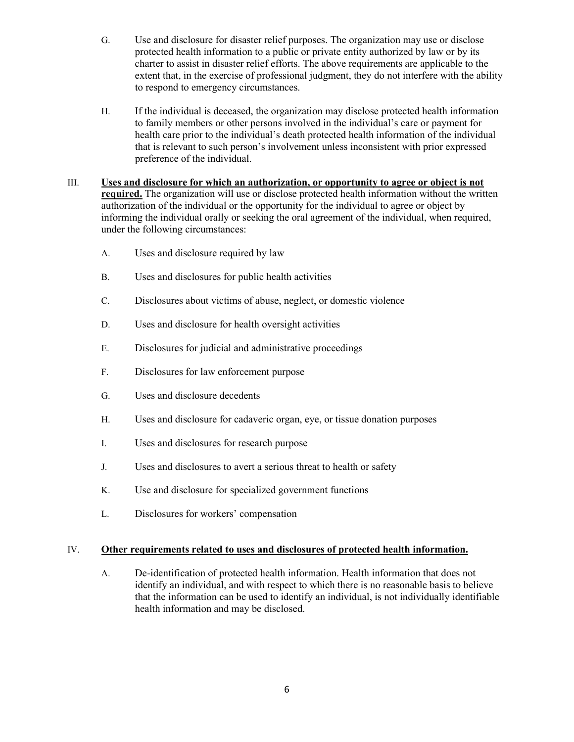- G. Use and disclosure for disaster relief purposes. The organization may use or disclose protected health information to a public or private entity authorized by law or by its charter to assist in disaster relief efforts. The above requirements are applicable to the extent that, in the exercise of professional judgment, they do not interfere with the ability to respond to emergency circumstances.
- H. If the individual is deceased, the organization may disclose protected health information to family members or other persons involved in the individual's care or payment for health care prior to the individual's death protected health information of the individual that is relevant to such person's involvement unless inconsistent with prior expressed preference of the individual.

### III. **Uses and disclosure for which an authorization, or opportunity to agree or object is not required.** The organization will use or disclose protected health information without the written authorization of the individual or the opportunity for the individual to agree or object by informing the individual orally or seeking the oral agreement of the individual, when required, under the following circumstances:

- A. Uses and disclosure required by law
- B. Uses and disclosures for public health activities
- C. Disclosures about victims of abuse, neglect, or domestic violence
- D. Uses and disclosure for health oversight activities
- E. Disclosures for judicial and administrative proceedings
- F. Disclosures for law enforcement purpose
- G. Uses and disclosure decedents
- H. Uses and disclosure for cadaveric organ, eye, or tissue donation purposes
- I. Uses and disclosures for research purpose
- J. Uses and disclosures to avert a serious threat to health or safety
- K. Use and disclosure for specialized government functions
- L. Disclosures for workers' compensation

#### IV. **Other requirements related to uses and disclosures of protected health information.**

A. De-identification of protected health information. Health information that does not identify an individual, and with respect to which there is no reasonable basis to believe that the information can be used to identify an individual, is not individually identifiable health information and may be disclosed.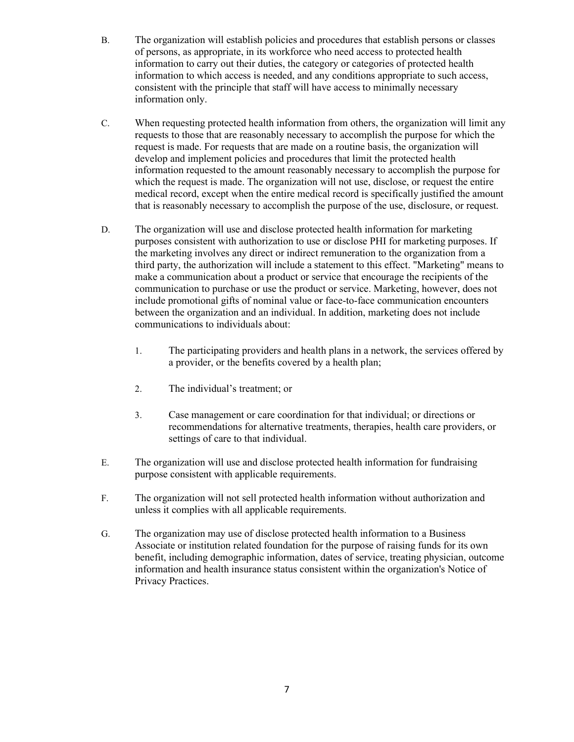- B. The organization will establish policies and procedures that establish persons or classes of persons, as appropriate, in its workforce who need access to protected health information to carry out their duties, the category or categories of protected health information to which access is needed, and any conditions appropriate to such access, consistent with the principle that staff will have access to minimally necessary information only.
- C. When requesting protected health information from others, the organization will limit any requests to those that are reasonably necessary to accomplish the purpose for which the request is made. For requests that are made on a routine basis, the organization will develop and implement policies and procedures that limit the protected health information requested to the amount reasonably necessary to accomplish the purpose for which the request is made. The organization will not use, disclose, or request the entire medical record, except when the entire medical record is specifically justified the amount that is reasonably necessary to accomplish the purpose of the use, disclosure, or request.
- D. The organization will use and disclose protected health information for marketing purposes consistent with authorization to use or disclose PHI for marketing purposes. If the marketing involves any direct or indirect remuneration to the organization from a third party, the authorization will include a statement to this effect. "Marketing" means to make a communication about a product or service that encourage the recipients of the communication to purchase or use the product or service. Marketing, however, does not include promotional gifts of nominal value or face-to-face communication encounters between the organization and an individual. In addition, marketing does not include communications to individuals about:
	- 1. The participating providers and health plans in a network, the services offered by a provider, or the benefits covered by a health plan;
	- 2. The individual's treatment; or
	- 3. Case management or care coordination for that individual; or directions or recommendations for alternative treatments, therapies, health care providers, or settings of care to that individual.
- E. The organization will use and disclose protected health information for fundraising purpose consistent with applicable requirements.
- F. The organization will not sell protected health information without authorization and unless it complies with all applicable requirements.
- G. The organization may use of disclose protected health information to a Business Associate or institution related foundation for the purpose of raising funds for its own benefit, including demographic information, dates of service, treating physician, outcome information and health insurance status consistent within the organization's Notice of Privacy Practices.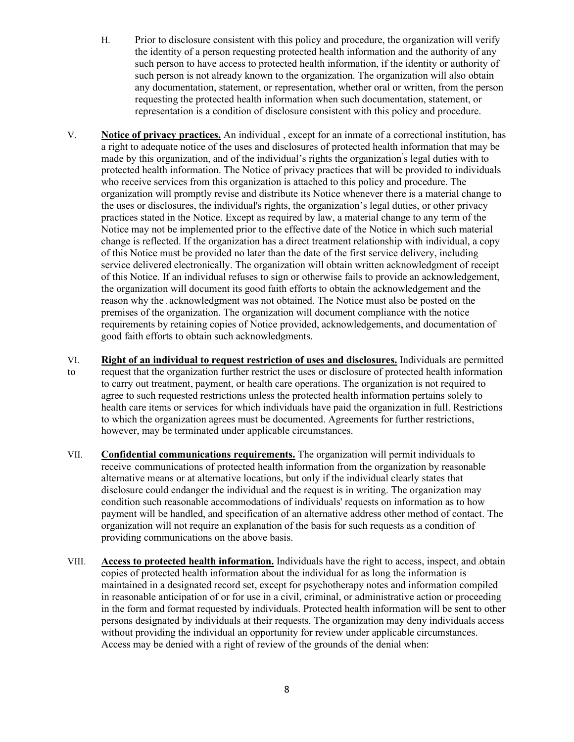- H. Prior to disclosure consistent with this policy and procedure, the organization will verify the identity of a person requesting protected health information and the authority of any such person to have access to protected health information, if the identity or authority of such person is not already known to the organization. The organization will also obtain any documentation, statement, or representation, whether oral or written, from the person requesting the protected health information when such documentation, statement, or representation is a condition of disclosure consistent with this policy and procedure.
- V. **Notice of privacy practices.** An individual , except for an inmate of a correctional institution, has a right to adequate notice of the uses and disclosures of protected health information that may be made by this organization, and of the individual's rights the organization' s legal duties with to protected health information. The Notice of privacy practices that will be provided to individuals who receive services from this organization is attached to this policy and procedure. The organization will promptly revise and distribute its Notice whenever there is a material change to the uses or disclosures, the individual's rights, the organization's legal duties, or other privacy practices stated in the Notice. Except as required by law, a material change to any term of the Notice may not be implemented prior to the effective date of the Notice in which such material change is reflected. If the organization has a direct treatment relationship with individual, a copy of this Notice must be provided no later than the date of the first service delivery, including service delivered electronically. The organization will obtain written acknowledgment of receipt of this Notice. If an individual refuses to sign or otherwise fails to provide an acknowledgement, the organization will document its good faith efforts to obtain the acknowledgement and the reason why the acknowledgment was not obtained. The Notice must also be posted on the premises of the organization. The organization will document compliance with the notice requirements by retaining copies of Notice provided, acknowledgements, and documentation of good faith efforts to obtain such acknowledgments.
- VI. **Right of an individual to request restriction of uses and disclosures.** Individuals are permitted to request that the organization further restrict the uses or disclosure of protected health information to carry out treatment, payment, or health care operations. The organization is not required to agree to such requested restrictions unless the protected health information pertains solely to health care items or services for which individuals have paid the organization in full. Restrictions to which the organization agrees must be documented. Agreements for further restrictions, however, may be terminated under applicable circumstances.
- VII. **Confidential communications requirements.** The organization will permit individuals to receive communications of protected health information from the organization by reasonable alternative means or at alternative locations, but only if the individual clearly states that disclosure could endanger the individual and the request is in writing. The organization may condition such reasonable accommodations of individuals' requests on information as to how payment will be handled, and specification of an alternative address other method of contact. The organization will not require an explanation of the basis for such requests as a condition of providing communications on the above basis.
- VIII. **Access to protected health information.** Individuals have the right to access, inspect, and obtain copies of protected health information about the individual for as long the information is maintained in a designated record set, except for psychotherapy notes and information compiled in reasonable anticipation of or for use in a civil, criminal, or administrative action or proceeding in the form and format requested by individuals. Protected health information will be sent to other persons designated by individuals at their requests. The organization may deny individuals access without providing the individual an opportunity for review under applicable circumstances. Access may be denied with a right of review of the grounds of the denial when: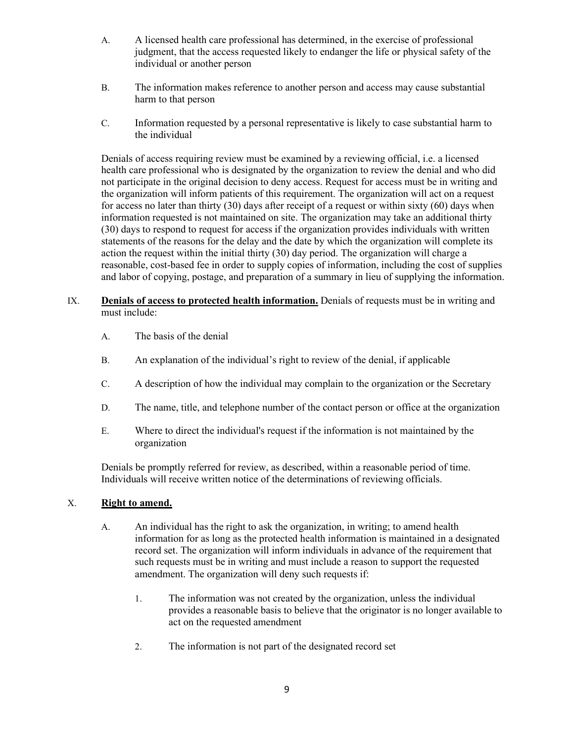- A. A licensed health care professional has determined, in the exercise of professional judgment, that the access requested likely to endanger the life or physical safety of the individual or another person
- B. The information makes reference to another person and access may cause substantial harm to that person
- C. Information requested by a personal representative is likely to case substantial harm to the individual

 Denials of access requiring review must be examined by a reviewing official, i.e. a licensed health care professional who is designated by the organization to review the denial and who did not participate in the original decision to deny access. Request for access must be in writing and the organization will inform patients of this requirement. The organization will act on a request for access no later than thirty (30) days after receipt of a request or within sixty (60) days when information requested is not maintained on site. The organization may take an additional thirty (30) days to respond to request for access if the organization provides individuals with written statements of the reasons for the delay and the date by which the organization will complete its action the request within the initial thirty (30) day period. The organization will charge a reasonable, cost-based fee in order to supply copies of information, including the cost of supplies and labor of copying, postage, and preparation of a summary in lieu of supplying the information.

- IX. **Denials of access to protected health information.** Denials of requests must be in writing and must include:
	- A. The basis of the denial
	- B. An explanation of the individual's right to review of the denial, if applicable
	- C. A description of how the individual may complain to the organization or the Secretary
	- D. The name, title, and telephone number of the contact person or office at the organization
	- E. Where to direct the individual's request if the information is not maintained by the organization

Denials be promptly referred for review, as described, within a reasonable period of time. Individuals will receive written notice of the determinations of reviewing officials.

#### X. **Right to amend.**

- A. An individual has the right to ask the organization, in writing; to amend health information for as long as the protected health information is maintained in a designated record set. The organization will inform individuals in advance of the requirement that such requests must be in writing and must include a reason to support the requested amendment. The organization will deny such requests if:
	- 1. The information was not created by the organization, unless the individual provides a reasonable basis to believe that the originator is no longer available to act on the requested amendment
	- 2. The information is not part of the designated record set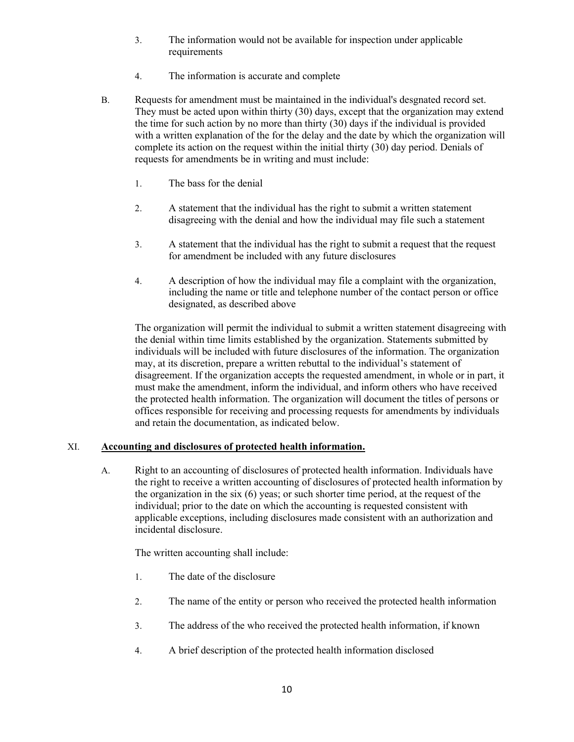- 3. The information would not be available for inspection under applicable requirements
- 4. The information is accurate and complete
- B. Requests for amendment must be maintained in the individual's desgnated record set. They must be acted upon within thirty (30) days, except that the organization may extend the time for such action by no more than thirty (30) days if the individual is provided with a written explanation of the for the delay and the date by which the organization will complete its action on the request within the initial thirty (30) day period. Denials of requests for amendments be in writing and must include:
	- 1. The bass for the denial
	- 2. A statement that the individual has the right to submit a written statement disagreeing with the denial and how the individual may file such a statement
	- 3. A statement that the individual has the right to submit a request that the request for amendment be included with any future disclosures
	- 4. A description of how the individual may file a complaint with the organization, including the name or title and telephone number of the contact person or office designated, as described above

The organization will permit the individual to submit a written statement disagreeing with the denial within time limits established by the organization. Statements submitted by individuals will be included with future disclosures of the information. The organization may, at its discretion, prepare a written rebuttal to the individual's statement of disagreement. If the organization accepts the requested amendment, in whole or in part, it must make the amendment, inform the individual, and inform others who have received the protected health information. The organization will document the titles of persons or offices responsible for receiving and processing requests for amendments by individuals and retain the documentation, as indicated below.

#### XI. **Accounting and disclosures of protected health information.**

A. Right to an accounting of disclosures of protected health information. Individuals have the right to receive a written accounting of disclosures of protected health information by the organization in the six (6) yeas; or such shorter time period, at the request of the individual; prior to the date on which the accounting is requested consistent with applicable exceptions, including disclosures made consistent with an authorization and incidental disclosure.

The written accounting shall include:

- 1. The date of the disclosure
- 2. The name of the entity or person who received the protected health information
- 3. The address of the who received the protected health information, if known
- 4. A brief description of the protected health information disclosed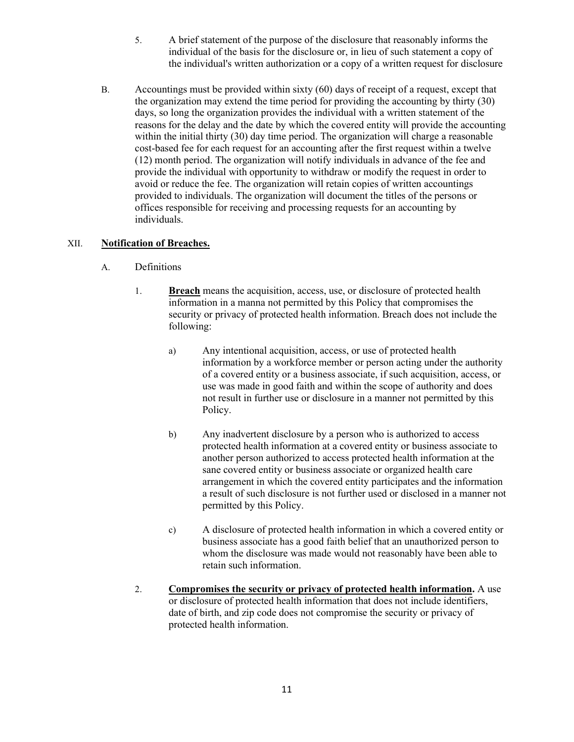- 5. A brief statement of the purpose of the disclosure that reasonably informs the individual of the basis for the disclosure or, in lieu of such statement a copy of the individual's written authorization or a copy of a written request for disclosure
- B. Accountings must be provided within sixty (60) days of receipt of a request, except that the organization may extend the time period for providing the accounting by thirty (30) days, so long the organization provides the individual with a written statement of the reasons for the delay and the date by which the covered entity will provide the accounting within the initial thirty (30) day time period. The organization will charge a reasonable cost-based fee for each request for an accounting after the first request within a twelve (12) month period. The organization will notify individuals in advance of the fee and provide the individual with opportunity to withdraw or modify the request in order to avoid or reduce the fee. The organization will retain copies of written accountings provided to individuals. The organization will document the titles of the persons or offices responsible for receiving and processing requests for an accounting by individuals.

#### XII. **Notification of Breaches.**

- A. Definitions
	- 1. **Breach** means the acquisition, access, use, or disclosure of protected health information in a manna not permitted by this Policy that compromises the security or privacy of protected health information. Breach does not include the following:
		- a) Any intentional acquisition, access, or use of protected health information by a workforce member or person acting under the authority of a covered entity or a business associate, if such acquisition, access, or use was made in good faith and within the scope of authority and does not result in further use or disclosure in a manner not permitted by this Policy.
		- b) Any inadvertent disclosure by a person who is authorized to access protected health information at a covered entity or business associate to another person authorized to access protected health information at the sane covered entity or business associate or organized health care arrangement in which the covered entity participates and the information a result of such disclosure is not further used or disclosed in a manner not permitted by this Policy.
		- c) A disclosure of protected health information in which a covered entity or business associate has a good faith belief that an unauthorized person to whom the disclosure was made would not reasonably have been able to retain such information.
	- 2. **Compromises the security or privacy of protected health information.** A use or disclosure of protected health information that does not include identifiers, date of birth, and zip code does not compromise the security or privacy of protected health information.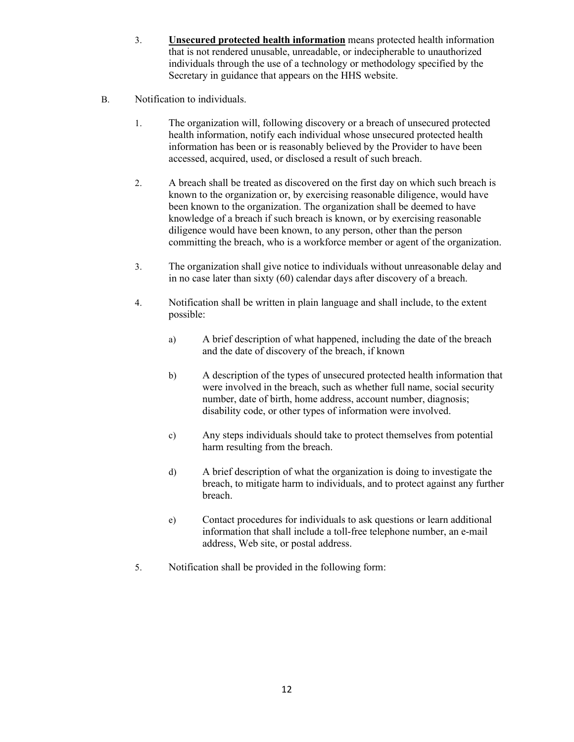- 3. **Unsecured protected health information** means protected health information that is not rendered unusable, unreadable, or indecipherable to unauthorized individuals through the use of a technology or methodology specified by the Secretary in guidance that appears on the HHS website.
- B. Notification to individuals.
	- 1. The organization will, following discovery or a breach of unsecured protected health information, notify each individual whose unsecured protected health information has been or is reasonably believed by the Provider to have been accessed, acquired, used, or disclosed a result of such breach.
	- 2. A breach shall be treated as discovered on the first day on which such breach is known to the organization or, by exercising reasonable diligence, would have been known to the organization. The organization shall be deemed to have knowledge of a breach if such breach is known, or by exercising reasonable diligence would have been known, to any person, other than the person committing the breach, who is a workforce member or agent of the organization.
	- 3. The organization shall give notice to individuals without unreasonable delay and in no case later than sixty (60) calendar days after discovery of a breach.
	- 4. Notification shall be written in plain language and shall include, to the extent possible:
		- a) A brief description of what happened, including the date of the breach and the date of discovery of the breach, if known
		- b) A description of the types of unsecured protected health information that were involved in the breach, such as whether full name, social security number, date of birth, home address, account number, diagnosis; disability code, or other types of information were involved.
		- c) Any steps individuals should take to protect themselves from potential harm resulting from the breach.
		- d) A brief description of what the organization is doing to investigate the breach, to mitigate harm to individuals, and to protect against any further breach.
		- e) Contact procedures for individuals to ask questions or learn additional information that shall include a toll-free telephone number, an e-mail address, Web site, or postal address.
	- 5. Notification shall be provided in the following form: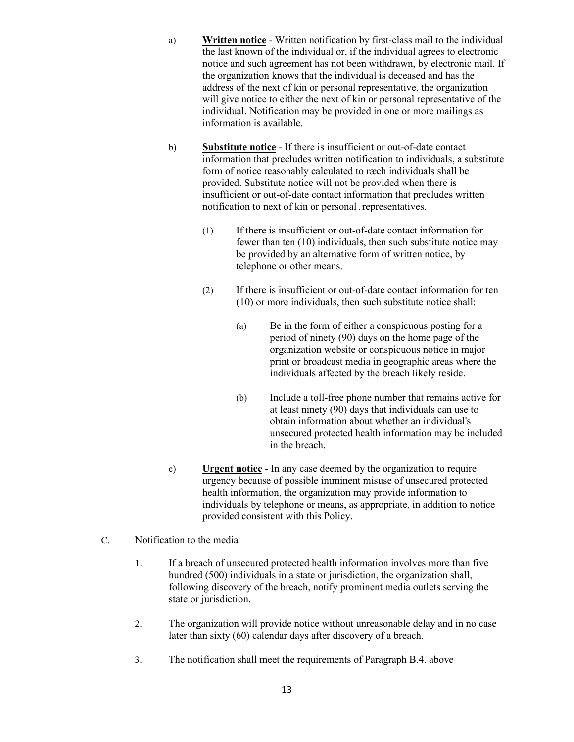a) **Written notice** - Written notification by first-class mail to the individual the last known of the individual or, if the individual agrees to electronic notice and such agreement has not been withdrawn, by electronic mail. If the organization knows that the individual is deceased and has the address of the next of kin or personal representative, the organization will give notice to either the next of kin or personal representative of the individual. Notification may be provided in one or more mailings as information is available.

- b) **Substitute notice** If there is insufficient or out-of-date contact information that precludes written notification to individuals, a substitute form of notice reasonably calculated to ræch individuals shall be provided. Substitute notice will not be provided when there is insufficient or out-of-date contact information that precludes written notification to next of kin or personal representatives.
	- (1) If there is insufficient or out-of-date contact information for fewer than ten (10) individuals, then such substitute notice may be provided by an alternative form of written notice, by telephone or other means.
	- (2) If there is insufficient or out-of-date contact information for ten (10) or more individuals, then such substitute notice shall:
		- (a) Be in the form of either a conspicuous posting for a period of ninety (90) days on the home page of the organization website or conspicuous notice in major print or broadcast media in geographic areas where the individuals affected by the breach likely reside.
		- (b) Include a toll-free phone number that remains active for at least ninety (90) days that individuals can use to obtain information about whether an individual's unsecured protected health information may be included in the breach.
- c) **Urgent notice** In any case deemed by the organization to require urgency because of possible imminent misuse of unsecured protected health information, the organization may provide information to individuals by telephone or means, as appropriate, in addition to notice provided consistent with this Policy.
- C. Notification to the media
	- 1. If a breach of unsecured protected health information involves more than five hundred (500) individuals in a state or jurisdiction, the organization shall, following discovery of the breach, notify prominent media outlets serving the state or jurisdiction.
	- 2. The organization will provide notice without unreasonable delay and in no case later than sixty (60) calendar days after discovery of a breach.
	- 3. The notification shall meet the requirements of Paragraph B.4. above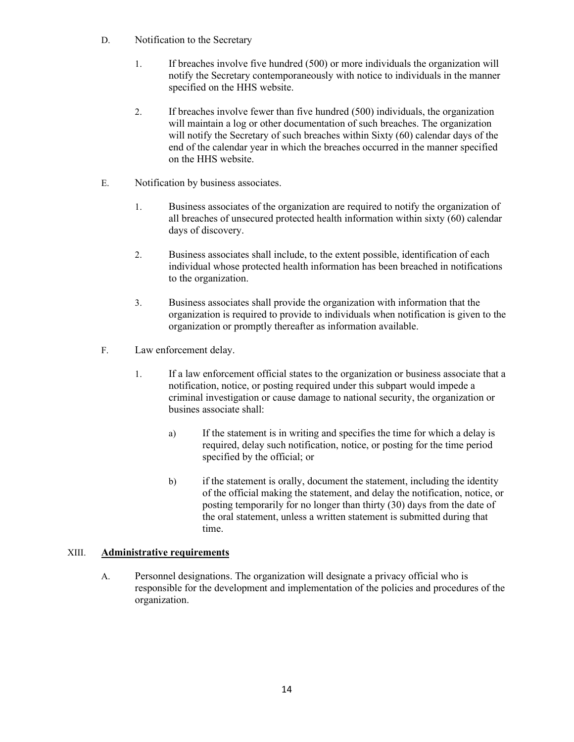- D. Notification to the Secretary
	- 1. If breaches involve five hundred (500) or more individuals the organization will notify the Secretary contemporaneously with notice to individuals in the manner specified on the HHS website.
	- 2. If breaches involve fewer than five hundred (500) individuals, the organization will maintain a log or other documentation of such breaches. The organization will notify the Secretary of such breaches within Sixty (60) calendar days of the end of the calendar year in which the breaches occurred in the manner specified on the HHS website.
- E. Notification by business associates.
	- 1. Business associates of the organization are required to notify the organization of all breaches of unsecured protected health information within sixty (60) calendar days of discovery.
	- 2. Business associates shall include, to the extent possible, identification of each individual whose protected health information has been breached in notifications to the organization.
	- 3. Business associates shall provide the organization with information that the organization is required to provide to individuals when notification is given to the organization or promptly thereafter as information available.
- F. Law enforcement delay.
	- 1. If a law enforcement official states to the organization or business associate that a notification, notice, or posting required under this subpart would impede a criminal investigation or cause damage to national security, the organization or busines associate shall:
		- a) If the statement is in writing and specifies the time for which a delay is required, delay such notification, notice, or posting for the time period specified by the official; or
		- b) if the statement is orally, document the statement, including the identity of the official making the statement, and delay the notification, notice, or posting temporarily for no longer than thirty (30) days from the date of the oral statement, unless a written statement is submitted during that time.

#### XIII. **Administrative requirements**

A. Personnel designations. The organization will designate a privacy official who is responsible for the development and implementation of the policies and procedures of the organization.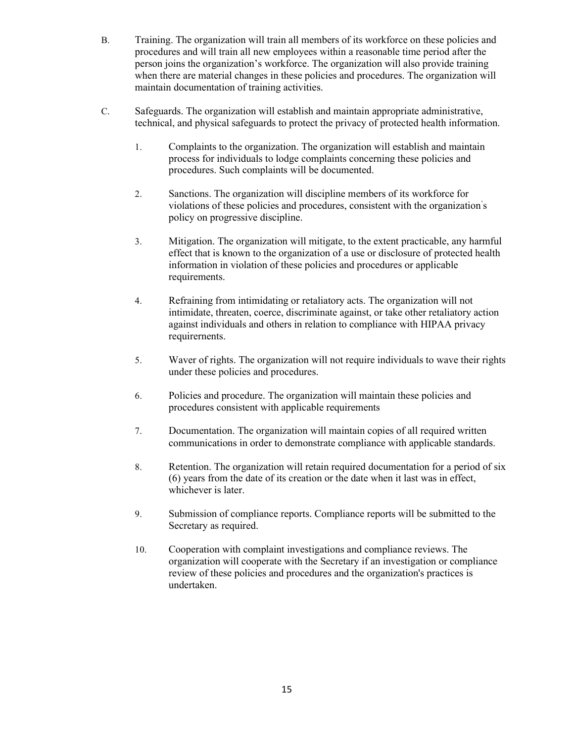- B. Training. The organization will train all members of its workforce on these policies and procedures and will train all new employees within a reasonable time period after the person joins the organization's workforce. The organization will also provide training when there are material changes in these policies and procedures. The organization will maintain documentation of training activities.
- C. Safeguards. The organization will establish and maintain appropriate administrative, technical, and physical safeguards to protect the privacy of protected health information.
	- 1. Complaints to the organization. The organization will establish and maintain process for individuals to lodge complaints concerning these policies and procedures. Such complaints will be documented.
	- 2. Sanctions. The organization will discipline members of its workforce for violations of these policies and procedures, consistent with the organization' s policy on progressive discipline.
	- 3. Mitigation. The organization will mitigate, to the extent practicable, any harmful effect that is known to the organization of a use or disclosure of protected health information in violation of these policies and procedures or applicable requirements.
	- 4. Refraining from intimidating or retaliatory acts. The organization will not intimidate, threaten, coerce, discriminate against, or take other retaliatory action against individuals and others in relation to compliance with HIPAA privacy requirernents.
	- 5. Waver of rights. The organization will not require individuals to wave their rights under these policies and procedures.
	- 6. Policies and procedure. The organization will maintain these policies and procedures consistent with applicable requirements
	- 7. Documentation. The organization will maintain copies of all required written communications in order to demonstrate compliance with applicable standards.
	- 8. Retention. The organization will retain required documentation for a period of six (6) years from the date of its creation or the date when it last was in effect, whichever is later.
	- 9. Submission of compliance reports. Compliance reports will be submitted to the Secretary as required.
	- 10. Cooperation with complaint investigations and compliance reviews. The organization will cooperate with the Secretary if an investigation or compliance review of these policies and procedures and the organization's practices is undertaken.